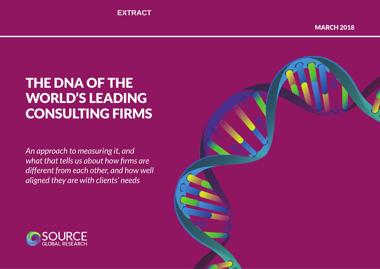# THE DNA OF THE WORLD'S LEADING CONSULTING FIRMS

*An approach to measuring it, and what that tells us about how firms are different from each other, and how well aligned they are with clients' needs*



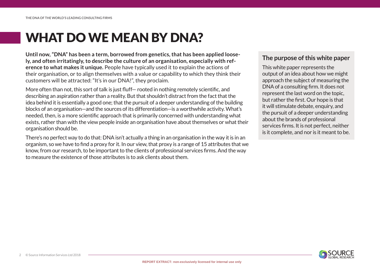# WHAT DO WE MEAN BY DNA?

**Until now, "DNA" has been a term, borrowed from genetics, that has been applied loosely, and often irritatingly, to describe the culture of an organisation, especially with reference to what makes it unique.** People have typically used it to explain the actions of their organisation, or to align themselves with a value or capability to which they think their customers will be attracted: "It's in our DNA!", they proclaim.

More often than not, this sort of talk is just fluff— rooted in nothing remotely scientific, and describing an aspiration rather than a reality. But that shouldn't distract from the fact that the idea behind it is essentially a good one; that the pursuit of a deeper understanding of the building blocks of an organisation—and the sources of its differentiation—is a worthwhile activity. What's needed, then, is a more scientific approach that is primarily concerned with understanding what exists, rather than with the view people inside an organisation have about themselves or what their organisation should be.

There's no perfect way to do that: DNA isn't actually a thing in an organisation in the way it is in an organism, so we have to find a proxy for it. In our view, that proxy is a range of 15 attributes that we know, from our research, to be important to the clients of professional services firms. And the way to measure the existence of those attributes is to ask clients about them.

### **The purpose of this white paper**

This white paper represents the output of an idea about how we might approach the subject of measuring the DNA of a consulting firm. It does not represent the last word on the topic, but rather the first. Our hope is that it will stimulate debate, enquiry, and the pursuit of a deeper understanding about the brands of professional services firms. It is not perfect, neither is it complete, and nor is it meant to be.